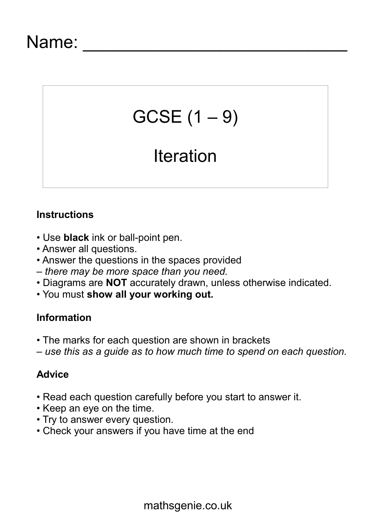# $GCSE(1 - 9)$

## **Iteration**

#### **Instructions**

- Use **black** ink or ball-point pen.
- Answer all questions.
- Answer the questions in the spaces provided
- *there may be more space than you need.*
- Diagrams are **NOT** accurately drawn, unless otherwise indicated.
- You must **show all your working out.**

### **Information**

- The marks for each question are shown in brackets
- *use this as a guide as to how much time to spend on each question.*

#### **Advice**

- Read each question carefully before you start to answer it.
- Keep an eye on the time.
- Try to answer every question.
- Check your answers if you have time at the end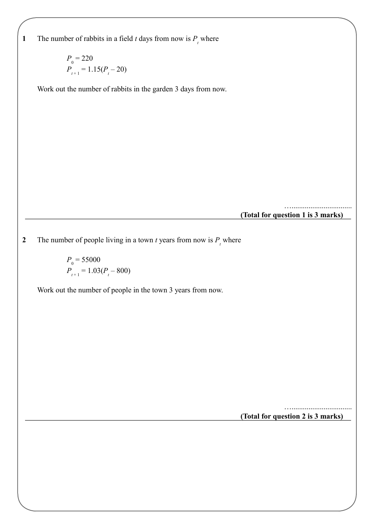**1** The number of rabbits in a field *t* days from now is  $P_t$  where

$$
P_{0} = 220
$$
  

$$
P_{t+1} = 1.15(P_{t} - 20)
$$

Work out the number of rabbits in the garden 3 days from now.

**(Total for question 1 is 3 marks)**

…................................

**2** The number of people living in a town *t* years from now is  $P_t$  where

 $P_{0} = 55000$  $P_{t+1} = 1.03(P_t - 800)$ 

Work out the number of people in the town 3 years from now.

**(Total for question 2 is 3 marks)**

…................................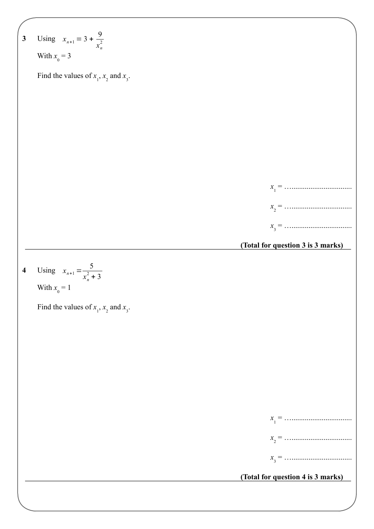**3 (Total for question 3 is 3 marks)** Using With *x* 0 = 3 Find the values of *x* 1 , *x* 2 and *x* 3 . *x* 1 = …................................ *x* 2 = …................................ *x* 3 = …................................ *x<sup>n</sup>*+<sup>1</sup> = 3 + 9 *xn* 2 **4 (Total for question 4 is 3 marks)** Using With *x* 0 = 1 Find the values of *x* 1 , *x* 2 and *x* 3 . *x* 1 = …................................ *x* 2 = …................................ *x* 3 = …................................ *x<sup>n</sup>*+<sup>1</sup> = 5 *xn* 2 + 3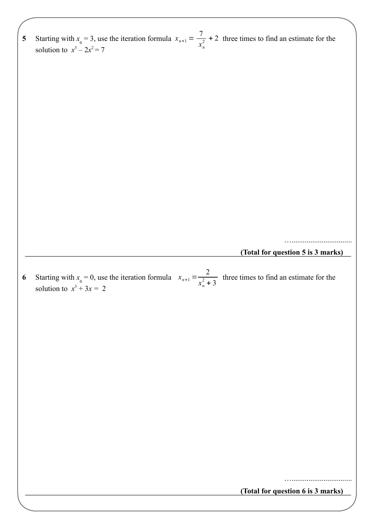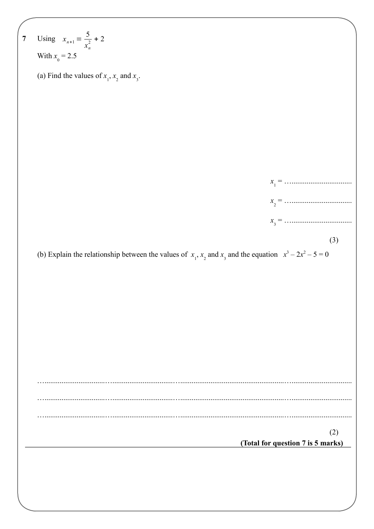7 Using 
$$
x_{s+1} = \frac{5}{x_0^2} + 2
$$
  
\nWith  $x_0 = 2.5$   
\n(a) Find the values of  $x_1$ ,  $x_2$  and  $x_3$ .  
\n
$$
x_1 = \frac{x_1 - \dots - x_n}{x_3 - \dots - \dots}
$$
\n(b) Explain the relationship between the values of  $x_1$ ,  $x_2$  and  $x_3$  and the equation  $x^3 - 2x^2 - 5 = 0$   
\n(3)  
\n(4)  
\n(5) Explain the relationship between the values of  $x_1$ ,  $x_2$  and  $x_3$  and the equation  $x^3 - 2x^2 - 5 = 0$   
\n(5)  
\n(6)  
\n(7) Find the equation 7 is 5 marks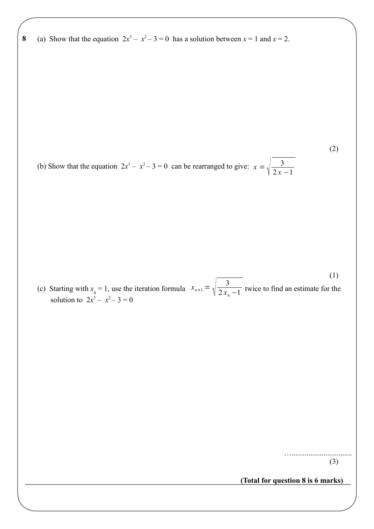**8 8** (a) Show that the equation  $2x^3 - x^2 - 3 = 0$  has a solution between  $x = 1$  and  $x = 2$ .

(b) Show that the equation  $2x^3 - x^2 - 3 = 0$  can be rearranged to give:  $x = \sqrt{\frac{3}{2x^3}}$  $2x - 1$ 

 $x_{n+1} = \sqrt{\frac{3}{2x_n}}$ (c) Starting with  $x_0 = 1$ , use the iteration formula  $x_{n+1} = \sqrt{\frac{2x_n - 1}{n}}$  twice to find an estimate for the solution to  $2x^3 - x^2 - 3 = 0$ (1)

> …................................ (3)

(2)

**(Total for question 8 is 6 marks)**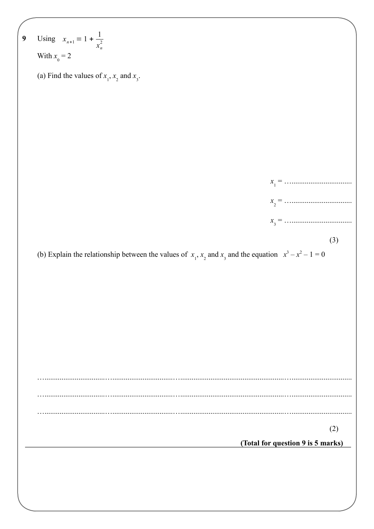| 9 | Using $x_{n+1} = 1 + \frac{1}{x_n^2}$                                                                           |
|---|-----------------------------------------------------------------------------------------------------------------|
|   | With $x_0 = 2$                                                                                                  |
|   | (a) Find the values of $x_1$ , $x_2$ and $x_3$ .                                                                |
|   |                                                                                                                 |
|   |                                                                                                                 |
|   |                                                                                                                 |
|   |                                                                                                                 |
|   |                                                                                                                 |
|   |                                                                                                                 |
|   |                                                                                                                 |
|   |                                                                                                                 |
|   | (3)                                                                                                             |
|   | (b) Explain the relationship between the values of $x_1$ , $x_2$ and $x_3$ and the equation $x^3 - x^2 - 1 = 0$ |
|   |                                                                                                                 |
|   |                                                                                                                 |
|   |                                                                                                                 |
|   |                                                                                                                 |
|   |                                                                                                                 |
|   |                                                                                                                 |
|   |                                                                                                                 |
|   |                                                                                                                 |
|   | (2)                                                                                                             |
|   | (Total for question 9 is 5 marks)                                                                               |
|   |                                                                                                                 |
|   |                                                                                                                 |
|   |                                                                                                                 |